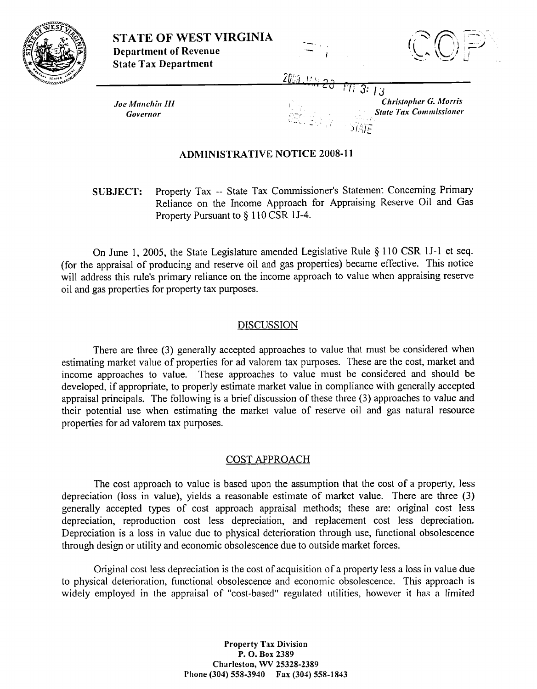

**STATE OF WEST VIRGINIA**<br>Department of Revenue **Department of Revenue**<br>State Tax Department

*Joe Manchin III* **Governor** 

# 2003 - 1222 **- 2**3

**3:** I3 **Christopher G. Morris**<br>*State Tax Commissioner* 

## **ADRIINISTRATIVE NOTICE 2008-1 1**

**SUBJECT:** Property Tax -- State Tax Commissioner's Statement Concerning Primary Reliance on the Income Approach for Appraising Reserve Oil and Gas Property Pursuant to  $\S 110 \text{CSR} 11-4$ .

On June 1, 2005, the State Legislature amended Legislative Rule \$ 110 CSR 1J-1 et seq. (for the appraisal of producing and reserve oil and gas properties) becane effective. This notice will address this rule's primary reliance on the income approach to value when appraising reserve oil and gas properties for property tax purposes.

### DISCUSSION

There are three (3) generally accepted approaches to value that must be considered when estimating market value of properties for ad valorem tax purposes. These are the cost, market and income approaches to value. These approaches to value must be considered and should be developed, if appropriate, to properly estimate market value in compliance with generally accepted appraisal principals. The following is a brief discussion of these three  $(3)$  approaches to value and their potential use when estimating the markel value of reserve oil and gas natural resource properties for ad valorem tax purposes.

### COST APPROACH

The cost approach to value is based upon the assumption that the cost of a property, less depreciation (loss in value), yields a reasonable estimate of market value. There are three (3) generally accepted types of cost approach appraisal methods; these are: original cost less depreciation, reproduction cost less depreciation, and replacement cost less depreciation. Depreciation is a loss in value due to physical deterioration through use, functional obsolescence through design or utility and economic obsolescence due to outside market forces.

Original cost less depreciation is the cost of acquisition of a property less a loss in value due to physical deterioration, functional obsolescence and economic obsolescence. This approach is widely employed in the appraisal of "cost-based" regulated utilities, however it has a limited

> **Property Tax Division P. 0. Box 2389 Charleston, \VV 25328-2389 Phone (304) 558-3930 Fax (303) 558-1843**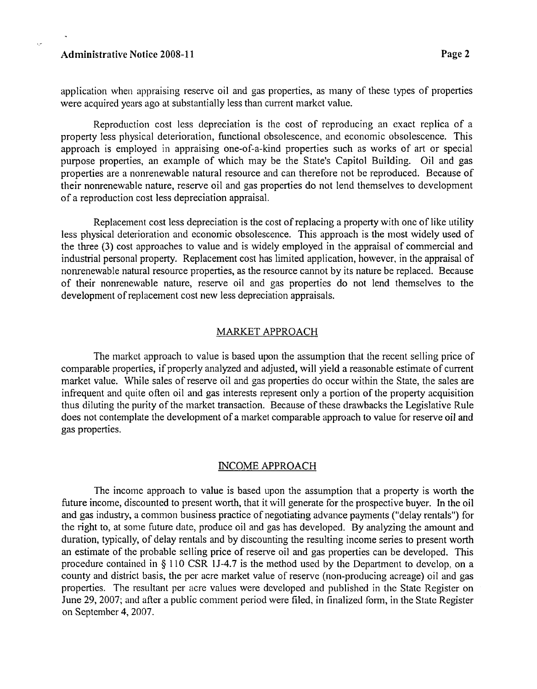#### **Administrative Notice 2008-11 Page 2 Page 2**

application when appraising reserve oil and gas properties, as many of these types of properties were acquired years ago at substantially less than current market value.

Reproduction cost less depreciation is the cost of reproducing an exact replica of a property less physical deterioration, functional obsolescence, and economic obsolescence. This approach is employed in appraising one-of-a-kind properties such as works of art or special purpose properties, an example of which may be the State's Capitol Building. Oil and gas properties are a nonrenewable natural resource and can therefore not be reproduced. Because of their nonrenewable nature, reserve oil and gas properties do not lend themselves to development of a reproduction cost less depreciation appraisal.

Replacement cost less depreciation is the cost of replacing a property with one of like utility less physical deterioration and economic obsolescence. This approach is the most widely used of the three **(3)** cost approaches to value and is widely employed in the appraisal of commercial and industrial personal property. Replacement cost has limited application, however, in the appraisal of nonrenewable natural resource properties, as the resource cannot by its nature be replaced. Because of their nonrenewable nature, reserve oil and gas properties do not lend themselves to the development of replacement cost new less depreciation appraisals.

### MARKET APPROACH

The market approach to value is based upon the assumption that the recent selling price of comparable properties, if properly analyzed and adjusted, will yield a reasonable estimate of current market value. While sales of reserve oil and gas properties do occur within the State, the sales are infrequent and quite often oil and gas interests represent only a portion of the property acquisition thus diluting the purity of the market transaction. Because of these drawbacks the Legislative Rule does not contemplate the development of a market comparable approach to value for reserve oil and gas properties.

## INCOME APPROACH

The income approach to value is based upon the assumption that a property is worth the future income, discounted to present worth, that it will generate for the prospective buyer. In the oil and gas industry, a common business practice of negotiating advance payments ("delay rentals") for the right to, at some future date, produce oil and gas has developed. By analyzing the amount and duration, typically, of delay rentals and by discounting the resulting income series to present worth an estimate of the probable selling price of resenre oil and gas properties can be developed. This procedure contained in § 1 10 CSR **15-4.7** is the method used by the Department to develop, on a county and district basis, the per acre market value of reserve (non-producing acreage) oil and gas properties. The resultant per acre values were developed and published in the State Register on June 29, 2007; and after a public comment period were filed, in finalized form, in the State Register on September 4,2007.

. -